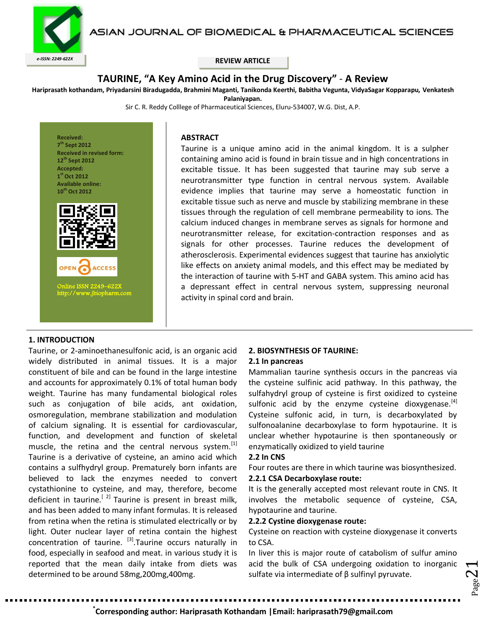ASIAN JOURNAL OF BIOMEDICAL & PHARMACEUTICAL SCIENCES



# **TAURINE, "A Key Amino Acid in the Drug Discovery"** - **A Review**

**Hariprasath kothandam, Priyadarsini Biradugadda, Brahmini Maganti, Tanikonda Keerthi, Babitha Vegunta, VidyaSagar Kopparapu, Venkatesh** 

**Palaniyapan.**

Sir C. R. Reddy Colllege of Pharmaceutical Sciences, Eluru-534007, W.G. Dist, A.P.



#### **ABSTRACT**

Taurine is a unique amino acid in the animal kingdom. It is a sulpher containing amino acid is found in brain tissue and in high concentrations in excitable tissue. It has been suggested that taurine may sub serve a neurotransmitter type function in central nervous system. Available evidence implies that taurine may serve a homeostatic function in excitable tissue such as nerve and muscle by stabilizing membrane in these tissues through the regulation of cell membrane permeability to ions. The calcium induced changes in membrane serves as signals for hormone and neurotransmitter release, for excitation-contraction responses and as signals for other processes. Taurine reduces the development of atherosclerosis. Experimental evidences suggest that taurine has anxiolytic like effects on anxiety animal models, and this effect may be mediated by the interaction of taurine with 5-HT and GABA system. This amino acid has a depressant effect in central nervous system, suppressing neuronal activity in spinal cord and brain.

## **1. INTRODUCTION**

Taurine, or 2-aminoethanesulfonic acid, is an organic acid widely distributed in animal tissues. It is a major constituent of bile and can be found in the large intestine and accounts for approximately 0.1% of total human body weight. Taurine has many fundamental biological roles such as conjugation of bile acids, ant oxidation, osmoregulation, membrane stabilization and modulation of calcium signaling. It is essential for cardiovascular, function, and development and function of skeletal muscle, the retina and the central nervous system. $^{[1]}$ Taurine is a derivative of cysteine, an amino acid which contains a sulfhydryl group. Prematurely born infants are believed to lack the enzymes needed to convert cystathionine to cysteine, and may, therefore, become deficient in taurine.<sup>[2]</sup> Taurine is present in breast milk, and has been added to many infant formulas. It is released from retina when the retina is stimulated electrically or by light. Outer nuclear layer of retina contain the highest concentration of taurine. <sup>[3]</sup>. Taurine occurs naturally in food, especially in seafood and meat. in various study it is reported that the mean daily intake from diets was determined to be around 58mg,200mg,400mg.

## **2. BIOSYNTHESIS OF TAURINE:**

#### **2.1 In pancreas**

Mammalian taurine synthesis occurs in the pancreas via the cysteine sulfinic acid pathway. In this pathway, the sulfahydryl group of cysteine is first oxidized to cysteine sulfonic acid by the enzyme cysteine dioxygenase. $^{[4]}$ Cysteine sulfonic acid, in turn, is decarboxylated by sulfonoalanine decarboxylase to form hypotaurine. It is unclear whether hypotaurine is then spontaneously or enzymatically oxidized to yield taurine

#### **2.2 In CNS**

Four routes are there in which taurine was biosynthesized.

## **2.2.1 CSA Decarboxylase route:**

It is the generally accepted most relevant route in CNS. It involves the metabolic sequence of cysteine, CSA, hypotaurine and taurine.

#### **2.2.2 Cystine dioxygenase route:**

Cysteine on reaction with cysteine dioxygenase it converts to CSA.

In liver this is major route of catabolism of sulfur amino acid the bulk of CSA undergoing oxidation to inorganic sulfate via intermediate of β sulfinyl pyruvate.

Page.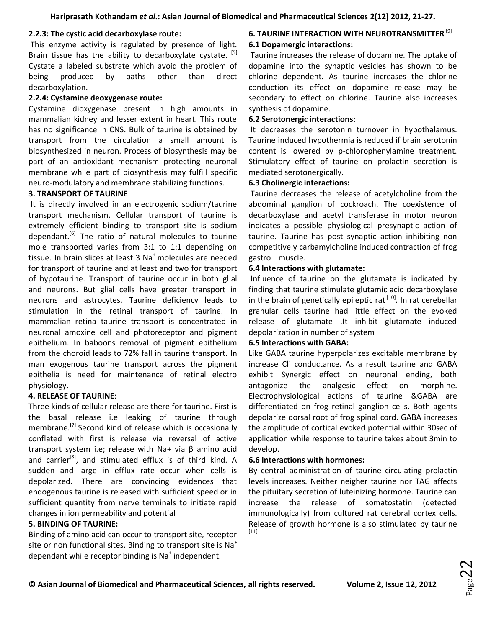## **2.2.3: The cystic acid decarboxylase route:**

This enzyme activity is regulated by presence of light. Brain tissue has the ability to decarboxylate cystate. <sup>[5]</sup> Cystate a labeled substrate which avoid the problem of being produced by paths other than direct decarboxylation.

## **2.2.4: Cystamine deoxygenase route:**

Cystamine dioxygenase present in high amounts in mammalian kidney and lesser extent in heart. This route has no significance in CNS. Bulk of taurine is obtained by transport from the circulation a small amount is biosynthesized in neuron. Process of biosynthesis may be part of an antioxidant mechanism protecting neuronal membrane while part of biosynthesis may fulfill specific neuro-modulatory and membrane stabilizing functions.

## **3. TRANSPORT OF TAURINE**

It is directly involved in an electrogenic sodium/taurine transport mechanism. Cellular transport of taurine is extremely efficient binding to transport site is sodium dependant.<sup>[6]</sup> The ratio of natural molecules to taurine mole transported varies from 3:1 to 1:1 depending on tissue. In brain slices at least 3 Na<sup>+</sup> molecules are needed for transport of taurine and at least and two for transport of hypotaurine. Transport of taurine occur in both glial and neurons. But glial cells have greater transport in neurons and astrocytes. Taurine deficiency leads to stimulation in the retinal transport of taurine. In mammalian retina taurine transport is concentrated in neuronal amoxine cell and photoreceptor and pigment epithelium. In baboons removal of pigment epithelium from the choroid leads to 72% fall in taurine transport. In man exogenous taurine transport across the pigment epithelia is need for maintenance of retinal electro physiology.

## **4. RELEASE OF TAURINE**:

Three kinds of cellular release are there for taurine. First is the basal release i.e leaking of taurine through membrane.<sup>[7]</sup> Second kind of release which is occasionally conflated with first is release via reversal of active transport system i.e; release with Na+ via β amino acid and carrier<sup>[8]</sup>, and stimulated efflux is of third kind. A sudden and large in efflux rate occur when cells is depolarized. There are convincing evidences that endogenous taurine is released with sufficient speed or in sufficient quantity from nerve terminals to initiate rapid changes in ion permeability and potential

## **5. BINDING OF TAURINE:**

Binding of amino acid can occur to transport site, receptor site or non functional sites. Binding to transport site is Na<sup>+</sup> dependant while receptor binding is Na<sup>+</sup> independent.

# **6. TAURINE INTERACTION WITH NEUROTRANSMITTER** [9] **6.1 Dopamergic interactions:**

Taurine increases the release of dopamine. The uptake of dopamine into the synaptic vesicles has shown to be chlorine dependent. As taurine increases the chlorine conduction its effect on dopamine release may be secondary to effect on chlorine. Taurine also increases synthesis of dopamine.

## **6.2 Serotonergic interactions**:

It decreases the serotonin turnover in hypothalamus. Taurine induced hypothermia is reduced if brain serotonin content is lowered by p-chlorophenylamine treatment. Stimulatory effect of taurine on prolactin secretion is mediated serotonergically.

## **6.3 Cholinergic interactions:**

Taurine decreases the release of acetylcholine from the abdominal ganglion of cockroach. The coexistence of decarboxylase and acetyl transferase in motor neuron indicates a possible physiological presynaptic action of taurine. Taurine has post synaptic action inhibiting non competitively carbamylcholine induced contraction of frog gastro muscle.

## **6.4 Interactions with glutamate:**

Influence of taurine on the glutamate is indicated by finding that taurine stimulate glutamic acid decarboxylase in the brain of genetically epileptic rat  $[10]$ . In rat cerebellar granular cells taurine had little effect on the evoked release of glutamate .It inhibit glutamate induced depolarization in number of system

## **6.5 Interactions with GABA:**

Like GABA taurine hyperpolarizes excitable membrane by increase Cl conductance. As a result taurine and GABA exhibit Synergic effect on neuronal ending, both antagonize the analgesic effect on morphine. Electrophysiological actions of taurine &GABA are differentiated on frog retinal ganglion cells. Both agents depolarize dorsal root of frog spinal cord. GABA increases the amplitude of cortical evoked potential within 30sec of application while response to taurine takes about 3min to develop.

## **6.6 Interactions with hormones:**

By central administration of taurine circulating prolactin levels increases. Neither neigher taurine nor TAG affects the pituitary secretion of luteinizing hormone. Taurine can increase the release of somatostatin (detected immunologically) from cultured rat cerebral cortex cells. Release of growth hormone is also stimulated by taurine [11]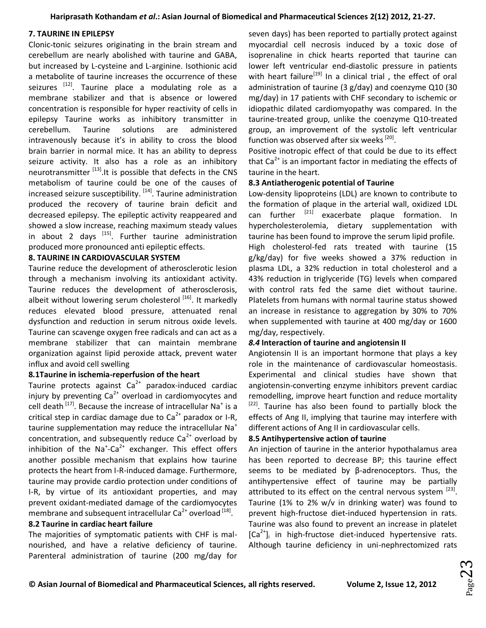#### **Hariprasath Kothandam** *et al***.: Asian Journal of Biomedical and Pharmaceutical Sciences 2(12) 2012, 21-27.**

#### **7. TAURINE IN EPILEPSY**

Clonic-tonic seizures originating in the brain stream and cerebellum are nearly abolished with taurine and GABA, but increased by L-cysteine and L-arginine. Isothionic acid a metabolite of taurine increases the occurrence of these seizures <sup>[12]</sup>. Taurine place a modulating role as a membrane stabilizer and that is absence or lowered concentration is responsible for hyper reactivity of cells in epilepsy Taurine works as inhibitory transmitter in cerebellum. Taurine solutions are administered intravenously because it's in ability to cross the blood brain barrier in normal mice. It has an ability to depress seizure activity. It also has a role as an inhibitory neurotransmitter  $^{[13]}$ . It is possible that defects in the CNS metabolism of taurine could be one of the causes of increased seizure susceptibility. [14]. Taurine administration produced the recovery of taurine brain deficit and decreased epilepsy. The epileptic activity reappeared and showed a slow increase, reaching maximum steady values in about 2 days  $[15]$ . Further taurine administration produced more pronounced anti epileptic effects.

#### **8. TAURINE IN CARDIOVASCULAR SYSTEM**

Taurine reduce the development of atherosclerotic lesion through a mechanism involving its antioxidant activity. Taurine reduces the development of atherosclerosis, albeit without lowering serum cholesterol  $[16]$ . It markedly reduces elevated blood pressure, attenuated renal dysfunction and reduction in serum nitrous oxide levels. Taurine can scavenge oxygen free radicals and can act as a membrane stabilizer that can maintain membrane organization against lipid peroxide attack, prevent water influx and avoid cell swelling

## **8***.***1Taurine in ischemia-reperfusion of the heart**

Taurine protects against  $Ca<sup>2+</sup>$  paradox-induced cardiac injury by preventing  $Ca^{2+}$  overload in cardiomyocytes and cell death  $^{[17]}$ . Because the increase of intracellular Na<sup>+</sup> is a critical step in cardiac damage due to  $Ca<sup>2+</sup>$  paradox or I-R, taurine supplementation may reduce the intracellular Na<sup>+</sup> concentration, and subsequently reduce  $Ca<sup>2+</sup>$  overload by inhibition of the Na<sup>+</sup>-Ca<sup>2+</sup> exchanger. This effect offers another possible mechanism that explains how taurine protects the heart from I-R-induced damage. Furthermore, taurine may provide cardio protection under conditions of I-R, by virtue of its antioxidant properties, and may prevent oxidant-mediated damage of the cardiomyocytes membrane and subsequent intracellular Ca<sup>2+</sup> overload  $^{[18]}$ .

## **8.2 Taurine in cardiac heart failure**

The majorities of symptomatic patients with CHF is malnourished, and have a relative deficiency of taurine. Parenteral administration of taurine (200 mg/day for seven days) has been reported to partially protect against myocardial cell necrosis induced by a toxic dose of isoprenaline in chick hearts reported that taurine can lower left ventricular end-diastolic pressure in patients with heart failure<sup>[19]</sup> In a clinical trial, the effect of oral administration of taurine (3 g/day) and coenzyme Q10 (30 mg/day) in 17 patients with CHF secondary to ischemic or idiopathic dilated cardiomyopathy was compared. In the taurine-treated group, unlike the coenzyme Q10-treated group, an improvement of the systolic left ventricular function was observed after six weeks <sup>[20]</sup>.

Positive inotropic effect of that could be due to its effect that  $Ca<sup>2+</sup>$  is an important factor in mediating the effects of taurine in the heart.

#### **8.3 Antiatherogenic potential of Taurine**

Low-density lipoproteins (LDL) are known to contribute to the formation of plaque in the arterial wall, oxidized LDL can further  $[21]$  exacerbate plaque formation. In hypercholesterolemia, dietary supplementation with taurine has been found to improve the serum lipid profile. High cholesterol-fed rats treated with taurine (15 g/kg/day) for five weeks showed a 37% reduction in plasma LDL, a 32% reduction in total cholesterol and a 43% reduction in triglyceride (TG) levels when compared with control rats fed the same diet without taurine. Platelets from humans with normal taurine status showed an increase in resistance to aggregation by 30% to 70% when supplemented with taurine at 400 mg/day or 1600 mg/day, respectively.

### *8.4* **Interaction of taurine and angiotensin II**

Angiotensin II is an important hormone that plays a key role in the maintenance of cardiovascular homeostasis. Experimental and clinical studies have shown that angiotensin-converting enzyme inhibitors prevent cardiac remodelling, improve heart function and reduce mortality  $[22]$ . Taurine has also been found to partially block the effects of Ang II, implying that taurine may interfere with different actions of Ang II in cardiovascular cells.

#### **8.5 Antihypertensive action of taurine**

An injection of taurine in the anterior hypothalamus area has been reported to decrease BP; this taurine effect seems to be mediated by β-adrenoceptors. Thus, the antihypertensive effect of taurine may be partially attributed to its effect on the central nervous system  $^{[23]}$ . Taurine (1% to 2% w/v in drinking water) was found to prevent high-fructose diet-induced hypertension in rats. Taurine was also found to prevent an increase in platelet  $[Ca<sup>2+</sup>]$  in high-fructose diet-induced hypertensive rats. Although taurine deficiency in uni-nephrectomized rats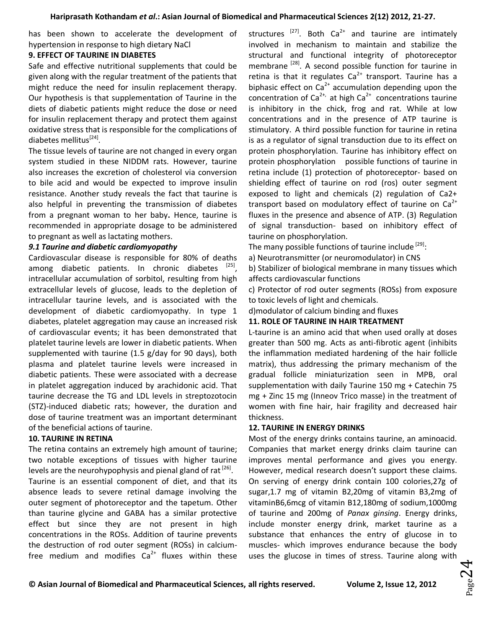has been shown to accelerate the development of hypertension in response to high dietary NaCl

### **9. EFFECT OF TAURINE IN DIABETES**

Safe and effective nutritional supplements that could be given along with the regular treatment of the patients that might reduce the need for insulin replacement therapy. Our hypothesis is that supplementation of Taurine in the diets of diabetic patients might reduce the dose or need for insulin replacement therapy and protect them against oxidative stress that is responsible for the complications of diabetes mellitus<sup>[24]</sup>.

The tissue levels of taurine are not changed in every organ system studied in these NIDDM rats. However, taurine also increases the excretion of cholesterol via conversion to bile acid and would be expected to improve insulin resistance. Another study reveals the fact that taurine is also helpful in preventing the transmission of [diabetes](http://diabetesinformationhub.com/) from a pregnant woman to her baby**.** Hence, taurine is recommended in appropriate dosage to be administered to pregnant as well as lactating mothers.

## *9.1 Taurine and diabetic cardiomyopathy*

Cardiovascular disease is responsible for 80% of deaths among diabetic patients. In chronic diabetes <sup>[25]</sup>, intracellular accumulation of sorbitol, resulting from high extracellular levels of glucose, leads to the depletion of intracellular taurine levels, and is associated with the development of diabetic cardiomyopathy. In type 1 diabetes, platelet aggregation may cause an increased risk of cardiovascular events; it has been demonstrated that platelet taurine levels are lower in diabetic patients. When supplemented with taurine (1.5 g/day for 90 days), both plasma and platelet taurine levels were increased in diabetic patients. These were associated with a decrease in platelet aggregation induced by arachidonic acid. That taurine decrease the TG and LDL levels in streptozotocin (STZ)-induced diabetic rats; however, the duration and dose of taurine treatment was an important determinant of the beneficial actions of taurine.

## **10. TAURINE IN RETINA**

The retina contains an extremely high amount of taurine; two notable exceptions of tissues with higher taurine levels are the neurohypophysis and pienal gland of rat  $^{[26]}$ .

Taurine is an essential component of diet, and that its absence leads to severe retinal damage involving the outer segment of photoreceptor and the tapetum. Other than taurine glycine and GABA has a similar protective effect but since they are not present in high concentrations in the ROSs. Addition of taurine prevents the destruction of rod outer segment (ROSs) in calciumfree medium and modifies  $Ca^{2+}$  fluxes within these structures  $[27]$ . Both Ca<sup>2+</sup> and taurine are intimately involved in mechanism to maintain and stabilize the structural and functional integrity of photoreceptor membrane <sup>[28]</sup>. A second possible function for taurine in retina is that it regulates  $Ca<sup>2+</sup>$  transport. Taurine has a biphasic effect on  $Ca^{2+}$  accumulation depending upon the concentration of Ca<sup>2+</sup>, at high Ca<sup>2+</sup> concentrations taurine is inhibitory in the chick, frog and rat. While at low concentrations and in the presence of ATP taurine is stimulatory. A third possible function for taurine in retina is as a regulator of signal transduction due to its effect on protein phosphorylation. Taurine has inhibitory effect on protein phosphorylation possible functions of taurine in retina include (1) protection of photoreceptor- based on shielding effect of taurine on rod (ros) outer segment exposed to light and chemicals (2) regulation of Ca2+ transport based on modulatory effect of taurine on  $Ca<sup>2+</sup>$ fluxes in the presence and absence of ATP. (3) Regulation of signal transduction- based on inhibitory effect of taurine on phosphorylation.

The many possible functions of taurine include <sup>[29]</sup>:

a) Neurotransmitter (or neuromodulator) in CNS

b) Stabilizer of biological membrane in many tissues which affects cardiovascular functions

c) Protector of rod outer segments (ROSs) from exposure to toxic levels of light and chemicals.

d)modulator of calcium binding and fluxes

## **11. ROLE OF TAURINE IN HAIR TREATMENT**

L-taurine is an amino acid that when used orally at doses greater than 500 mg. Acts as anti-fibrotic agent (inhibits the inflammation mediated hardening of the hair follicle matrix), thus addressing the primary mechanism of the gradual follicle miniaturization seen in MPB, oral supplementation with daily Taurine 150 mg + Catechin 75 mg + Zinc 15 mg (Inneov Trico masse) in the treatment of women with fine hair, hair fragility and decreased hair thickness.

## **12. TAURINE IN ENERGY DRINKS**

Most of the energy drinks contains taurine, an aminoacid. Companies that market energy drinks claim taurine can improves mental performance and gives you energy. However, medical research doesn't support these claims. On serving of energy drink contain 100 colories,27g of sugar,1.7 mg of vitamin B2,20mg of vitamin B3,2mg of vitaminB6,6mcg of vitamin B12,180mg of sodium,1000mg of taurine and 200mg of *Panax ginsing*. Energy drinks, include monster energy drink, market taurine as a substance that enhances the entry of glucose in to muscles- which improves endurance because the body uses the glucose in times of stress. Taurine along with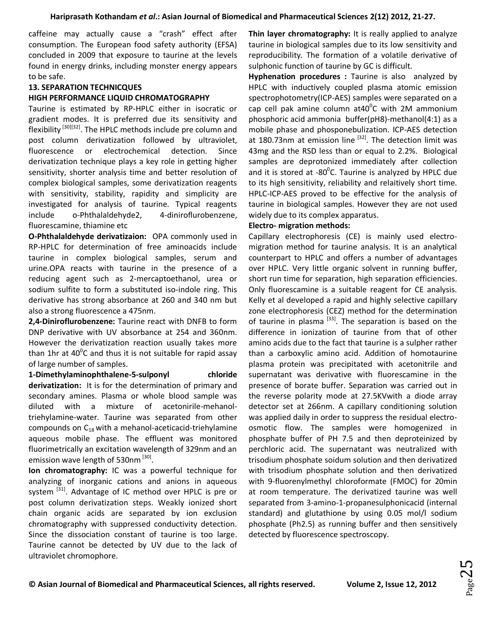caffeine may actually cause a "crash" effect after consumption. The European food safety authority (EFSA) concluded in 2009 that exposure to taurine at the levels found in energy drinks, including monster energy appears to be safe.

# **13. SEPARATION TECHNICQUES HIGH PERFORMANCE LIQUID CHROMATOGRAPHY**

Taurine is estimated by RP-HPLC either in isocratic or gradient modes. It is preferred due its sensitivity and flexibility [30][32]. The HPLC methods include pre column and post column derivatization followed by ultraviolet, fluorescence or electrochemical detection. Since derivatization technique plays a key role in getting higher sensitivity, shorter analysis time and better resolution of complex biological samples, some derivatization reagents with sensitivity, stability, rapidity and simplicity are investigated for analysis of taurine. Typical reagents include o-Phthalaldehyde2, 4-diniroflurobenzene, fluorescamine, thiamine etc

**O-Phthalaldehyde derivatizaion:** OPA commonly used in RP-HPLC for determination of free aminoacids include taurine in complex biological samples, serum and urine.OPA reacts with taurine in the presence of a reducing agent such as 2-mercaptoethanol, urea or sodium sulfite to form a substituted iso-indole ring. This derivative has strong absorbance at 260 and 340 nm but also a strong fluorescence a 475nm.

**2,4-Diniroflurobenzene:** Taurine react with DNFB to form DNP derivative with UV absorbance at 254 and 360nm. However the derivatization reaction usually takes more than 1hr at 40<sup>o</sup>C and thus it is not suitable for rapid assay of large number of samples.

**1-Dimethylaminophthalene-5-sulponyl chloride** 

**derivatization:** It is for the determination of primary and secondary amines. Plasma or whole blood sample was diluted with a mixture of acetonirile-mehanoltriehylamine-water. Taurine was separated from other compounds on  $C_{18}$  with a mehanol-aceticacid-triehylamine aqueous mobile phase. The effluent was monitored fluorimetrically an excitation wavelength of 329nm and an emission wave length of 530nm [30].

**Ion chromatography:** IC was a powerful technique for analyzing of inorganic cations and anions in aqueous system <sup>[31]</sup>. Advantage of IC method over HPLC is pre or post column derivatization steps. Weakly ionized short chain organic acids are separated by ion exclusion chromatography with suppressed conductivity detection. Since the dissociation constant of taurine is too large. Taurine cannot be detected by UV due to the lack of ultraviolet chromophore.

**Thin layer chromatography:** It is really applied to analyze taurine in biological samples due to its low sensitivity and reproducibility. The formation of a volatile derivative of sulphonic function of taurine by GC is difficult.

**Hyphenation procedures :** Taurine is alsoanalyzed by HPLC with inductively coupled plasma atomic emission spectrophotometry(ICP-AES) samples were separated on a cap cell pak amine column at40 $\mathrm{^0C}$  with 2M ammonium phosphoric acid ammonia buffer(pH8)-methanol(4:1) as a mobile phase and phosponebulization. ICP-AES detection at 180.73nm at emission line  $[32]$ . The detection limit was 43mg and the RSD less than or equal to 2.2%. Biological samples are deprotonized immediately after collection and it is stored at -80 $^{\circ}$ C. Taurine is analyzed by HPLC due to its high sensitivity, reliability and relaitively short time. HPLC-ICP-AES proved to be effective for the analysis of taurine in biological samples. However they are not used widely due to its complex apparatus.

# **Electro- migration methods:**

Capillary electrophoresis (CE) is mainly used electromigration method for taurine analysis. It is an analytical counterpart to HPLC and offers a number of advantages over HPLC. Very little organic solvent in running buffer, short run time for separation, high separation efficiencies. Only fluorescamine is a suitable reagent for CE analysis. Kelly et al developed a rapid and highly selective capillary zone electrophoresis (CEZ) method for the determination of taurine in plasma <sup>[33]</sup>. The separation is based on the difference in ionization of taurine from that of other amino acids due to the fact that taurine is a sulpher rather than a carboxylic amino acid. Addition of homotaurine plasma protein was precipitated with acetonitrile and supernatant was derivative with fluorescamine in the presence of borate buffer. Separation was carried out in the reverse polarity mode at 27.5KVwith a diode array detector set at 266nm. A capillary conditioning solution was applied daily in order to suppress the residual electroosmotic flow. The samples were homogenized in phosphate buffer of PH 7.5 and then deproteinized by perchloric acid. The supernatant was neutralized with trisodium phosphate soidum solution and then derivatized with trisodium phosphate solution and then derivatized with 9-fluorenylmethyl chloroformate (FMOC) for 20min at room temperature. The derivatized taurine was well separated from 3-amino-1-propanesulphonicacid (internal standard) and glutathione by using 0.05 mol/l sodium phosphate (Ph2.5) as running buffer and then sensitively detected by fluorescence spectroscopy.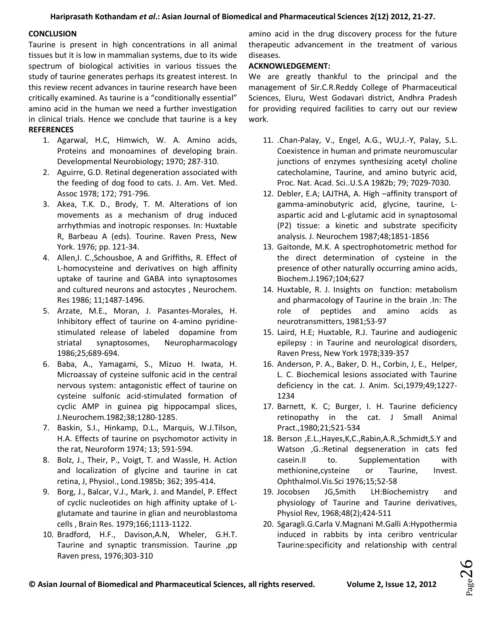**Hariprasath Kothandam** *et al***.: Asian Journal of Biomedical and Pharmaceutical Sciences 2(12) 2012, 21-27.**

## **CONCLUSION**

Taurine is present in high concentrations in all animal tissues but it is low in mammalian systems, due to its wide spectrum of biological activities in various tissues the study of taurine generates perhaps its greatest interest. In this review recent advances in taurine research have been critically examined. As taurine is a "conditionally essential" amino acid in the human we need a further investigation in clinical trials. Hence we conclude that taurine is a key **REFERENCES**

- 1. Agarwal, H.C, Himwich, W. A. Amino acids, Proteins and monoamines of developing brain. Developmental Neurobiology; 1970; 287-310.
- 2. Aguirre, G.D. Retinal degeneration associated with the feeding of dog food to cats. J. Am. Vet. Med. Assoc 1978; 172; 791-796.
- 3. Akea, T.K. D., Brody, T. M. Alterations of ion movements as a mechanism of drug induced arrhythmias and inotropic responses. In: Huxtable R, Barbeau A (eds). Tourine. Raven Press, New York. 1976; pp. 121-34.
- 4. Allen, I. C., Schousboe, A and Griffiths, R. Effect of L-homocysteine and derivatives on high affinity uptake of taurine and GABA into synaptosomes and cultured neurons and astocytes , Neurochem. Res 1986; 11;1487-1496.
- 5. Arzate, M.E., Moran, J. Pasantes-Morales, H. Inhibitory effect of taurine on 4-amino pyridinestimulated release of labeled dopamine from striatal synaptosomes, Neuropharmacology 1986;25;689-694.
- 6. Baba, A., Yamagami, S., Mizuo H. Iwata, H. Microassay of cysteine sulfonic acid in the central nervous system: antagonistic effect of taurine on cysteine sulfonic acid-stimulated formation of cyclic AMP in guinea pig hippocampal slices, J.Neurochem.1982;38;1280-1285.
- 7. Baskin, S.I., Hinkamp, D.L., Marquis, W.J.Tilson, H.A. Effects of taurine on psychomotor activity in the rat, Neuroform 1974; 13; 591-594.
- 8. Bolz, J., Their, P., Voigt, T. and Wassle, H. Action and localization of glycine and taurine in cat retina, J, Physiol., Lond.1985b; 362; 395-414.
- 9. Borg, J., Balcar, V.J., Mark, J. and Mandel, P. Effect of cyclic nucleotides on high affinity uptake of Lglutamate and taurine in glian and neuroblastoma cells , Brain Res. 1979;166;1113-1122.
- 10. Bradford, H.F., Davison,A.N, Wheler, G.H.T. Taurine and synaptic transmission. Taurine ,pp Raven press, 1976;303-310

amino acid in the drug discovery process for the future therapeutic advancement in the treatment of various diseases.

## **ACKNOWLEDGEMENT:**

We are greatly thankful to the principal and the management of Sir.C.R.Reddy College of Pharmaceutical Sciences, Eluru, West Godavari district, Andhra Pradesh for providing required facilities to carry out our review work.

- 11. .Chan-Palay, V., Engel, A.G., WU,J.-Y, Palay, S.L. Coexistence in human and primate neuromuscular junctions of enzymes synthesizing acetyl choline catecholamine, Taurine, and amino butyric acid, Proc. Nat. Acad. Sci..U.S.A 1982b; 79; 7029-7030.
- 12. Debler, E.A; LAJTHA, A. High –affinity transport of gamma-aminobutyric acid, glycine, taurine, Laspartic acid and L-glutamic acid in synaptosomal (P2) tissue: a kinetic and substrate specificity analysis. J. Neurochem 1987;48;1851-1856
- 13. Gaitonde, M.K. A spectrophotometric method for the direct determination of cysteine in the presence of other naturally occurring amino acids, Biochem.J.1967;104;627
- 14. Huxtable, R. J. Insights on function: metabolism and pharmacology of Taurine in the brain .In: The role of peptides and amino acids as neurotransmitters, 1981;53-97
- 15. Laird, H.E; Huxtable, R.J. Taurine and audiogenic epilepsy : in Taurine and neurological disorders, Raven Press, New York 1978;339-357
- 16. Anderson, P. A., Baker, D. H., Corbin, J, E., Helper, L. C. Biochemical lesions associated with Taurine deficiency in the cat. J. Anim. Sci,1979;49;1227- 1234
- 17. Barnett, K. C; Burger, I. H. Taurine deficiency retinopathy in the cat. J Small Animal Pract.,1980;21;521-534
- 18. Berson ,E.L.,Hayes,K,C.,Rabin,A.R.,Schmidt,S.Y and Watson ,G.:Retinal degseneration in cats fed casein.II to. Supplementation with methionine,cysteine or Taurine, Invest. Ophthalmol.Vis.Sci 1976;15;52-58
- 19. Jocobsen JG,Smith LH:Biochemistry and physiology of Taurine and Taurine derivatives, Physiol Rev, 1968;48(2);424-511
- 20. Sgaragli.G.Carla V.Magnani M.Galli A:Hypothermia induced in rabbits by inta ceribro ventricular Taurine:specificity and relationship with central